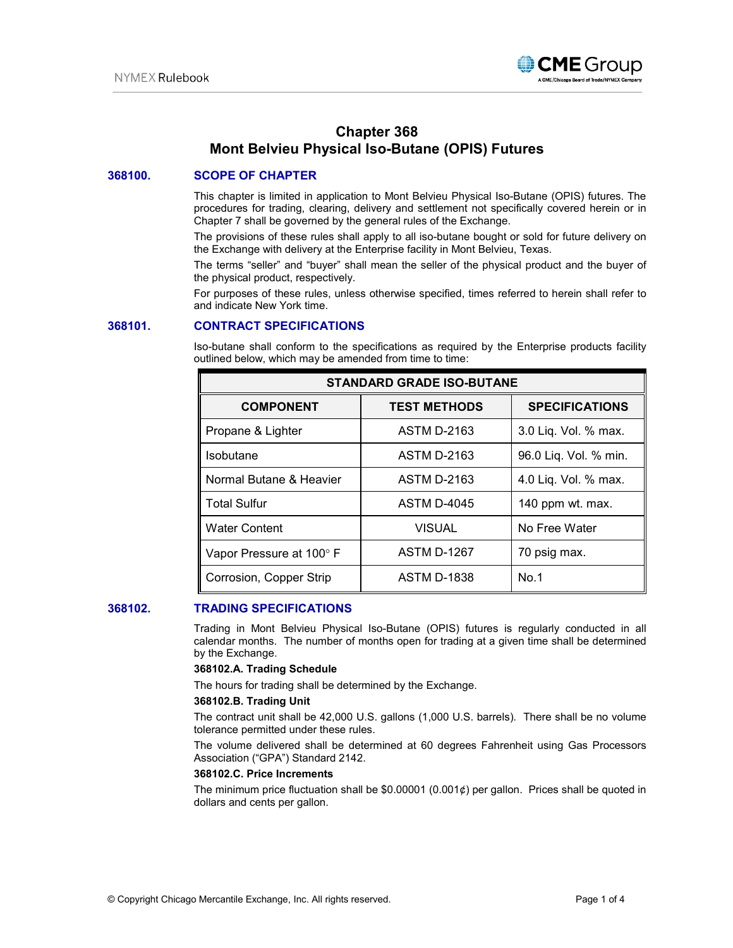

# **Chapter 368 Mont Belvieu Physical Iso-Butane (OPIS) Futures**

## **368100. SCOPE OF CHAPTER**

This chapter is limited in application to Mont Belvieu Physical Iso-Butane (OPIS) futures. The procedures for trading, clearing, delivery and settlement not specifically covered herein or in Chapter 7 shall be governed by the general rules of the Exchange.

The provisions of these rules shall apply to all iso-butane bought or sold for future delivery on the Exchange with delivery at the Enterprise facility in Mont Belvieu, Texas.

The terms "seller" and "buyer" shall mean the seller of the physical product and the buyer of the physical product, respectively.

For purposes of these rules, unless otherwise specified, times referred to herein shall refer to and indicate New York time.

## **368101. CONTRACT SPECIFICATIONS**

Iso-butane shall conform to the specifications as required by the Enterprise products facility outlined below, which may be amended from time to time:

| <b>STANDARD GRADE ISO-BUTANE</b> |                     |                       |
|----------------------------------|---------------------|-----------------------|
| <b>COMPONENT</b>                 | <b>TEST METHODS</b> | <b>SPECIFICATIONS</b> |
| Propane & Lighter                | <b>ASTM D-2163</b>  | 3.0 Liq. Vol. % max.  |
| Isobutane                        | <b>ASTM D-2163</b>  | 96.0 Liq. Vol. % min. |
| Normal Butane & Heavier          | <b>ASTM D-2163</b>  | 4.0 Liq. Vol. % max.  |
| <b>Total Sulfur</b>              | <b>ASTM D-4045</b>  | 140 ppm wt. max.      |
| <b>Water Content</b>             | <b>VISUAL</b>       | No Free Water         |
| Vapor Pressure at 100° F         | <b>ASTM D-1267</b>  | 70 psig max.          |
| Corrosion, Copper Strip          | <b>ASTM D-1838</b>  | No.1                  |

## **368102. TRADING SPECIFICATIONS**

Trading in Mont Belvieu Physical Iso-Butane (OPIS) futures is regularly conducted in all calendar months. The number of months open for trading at a given time shall be determined by the Exchange.

#### **368102.A. Trading Schedule**

The hours for trading shall be determined by the Exchange.

#### **368102.B. Trading Unit**

The contract unit shall be 42,000 U.S. gallons (1,000 U.S. barrels). There shall be no volume tolerance permitted under these rules.

The volume delivered shall be determined at 60 degrees Fahrenheit using Gas Processors Association ("GPA") Standard 2142.

#### **368102.C. Price Increments**

The minimum price fluctuation shall be  $$0.00001$  (0.001¢) per gallon. Prices shall be quoted in dollars and cents per gallon.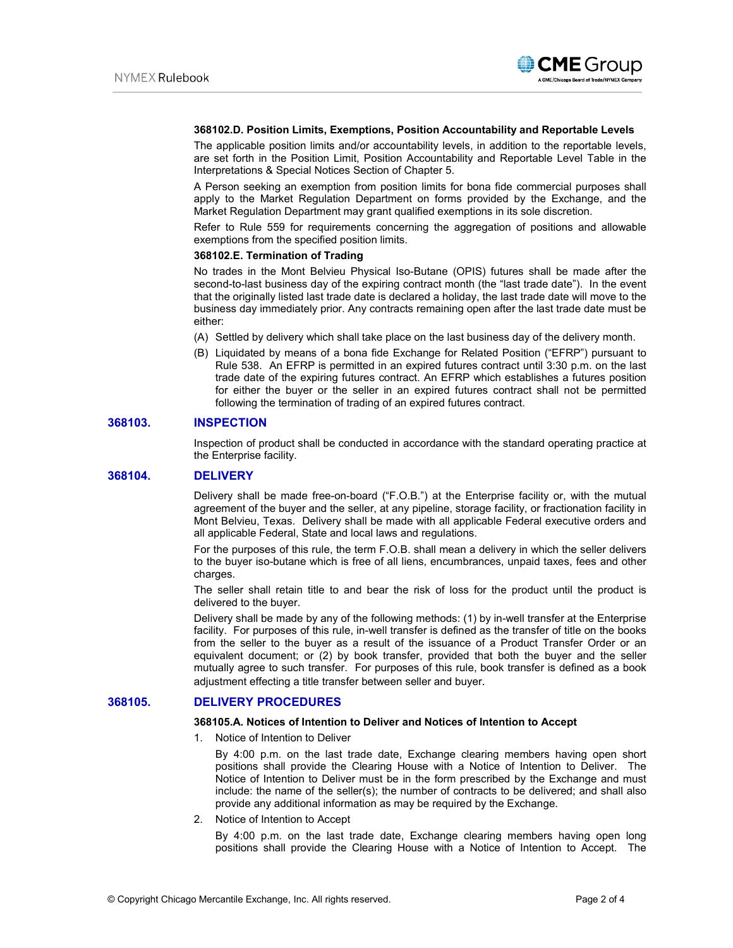

#### **368102.D. Position Limits, Exemptions, Position Accountability and Reportable Levels**

The applicable position limits and/or accountability levels, in addition to the reportable levels, are set forth in the Position Limit, Position Accountability and Reportable Level Table in the Interpretations & Special Notices Section of Chapter 5.

A Person seeking an exemption from position limits for bona fide commercial purposes shall apply to the Market Regulation Department on forms provided by the Exchange, and the Market Regulation Department may grant qualified exemptions in its sole discretion.

Refer to Rule 559 for requirements concerning the aggregation of positions and allowable exemptions from the specified position limits.

#### **368102.E. Termination of Trading**

No trades in the Mont Belvieu Physical Iso-Butane (OPIS) futures shall be made after the second-to-last business day of the expiring contract month (the "last trade date"). In the event that the originally listed last trade date is declared a holiday, the last trade date will move to the business day immediately prior. Any contracts remaining open after the last trade date must be either:

- (A) Settled by delivery which shall take place on the last business day of the delivery month.
- (B) Liquidated by means of a bona fide Exchange for Related Position ("EFRP") pursuant to Rule 538. An EFRP is permitted in an expired futures contract until 3:30 p.m. on the last trade date of the expiring futures contract. An EFRP which establishes a futures position for either the buyer or the seller in an expired futures contract shall not be permitted following the termination of trading of an expired futures contract.

## **368103. INSPECTION**

Inspection of product shall be conducted in accordance with the standard operating practice at the Enterprise facility.

## **368104. DELIVERY**

Delivery shall be made free-on-board ("F.O.B.") at the Enterprise facility or, with the mutual agreement of the buyer and the seller, at any pipeline, storage facility, or fractionation facility in Mont Belvieu, Texas. Delivery shall be made with all applicable Federal executive orders and all applicable Federal, State and local laws and regulations.

For the purposes of this rule, the term F.O.B. shall mean a delivery in which the seller delivers to the buyer iso-butane which is free of all liens, encumbrances, unpaid taxes, fees and other charges.

The seller shall retain title to and bear the risk of loss for the product until the product is delivered to the buyer.

Delivery shall be made by any of the following methods: (1) by in-well transfer at the Enterprise facility. For purposes of this rule, in-well transfer is defined as the transfer of title on the books from the seller to the buyer as a result of the issuance of a Product Transfer Order or an equivalent document; or (2) by book transfer, provided that both the buyer and the seller mutually agree to such transfer. For purposes of this rule, book transfer is defined as a book adjustment effecting a title transfer between seller and buyer.

## **368105. DELIVERY PROCEDURES**

#### **368105.A. Notices of Intention to Deliver and Notices of Intention to Accept**

1. Notice of Intention to Deliver

By 4:00 p.m. on the last trade date, Exchange clearing members having open short positions shall provide the Clearing House with a Notice of Intention to Deliver. The Notice of Intention to Deliver must be in the form prescribed by the Exchange and must include: the name of the seller(s); the number of contracts to be delivered; and shall also provide any additional information as may be required by the Exchange.

2. Notice of Intention to Accept

By 4:00 p.m. on the last trade date, Exchange clearing members having open long positions shall provide the Clearing House with a Notice of Intention to Accept. The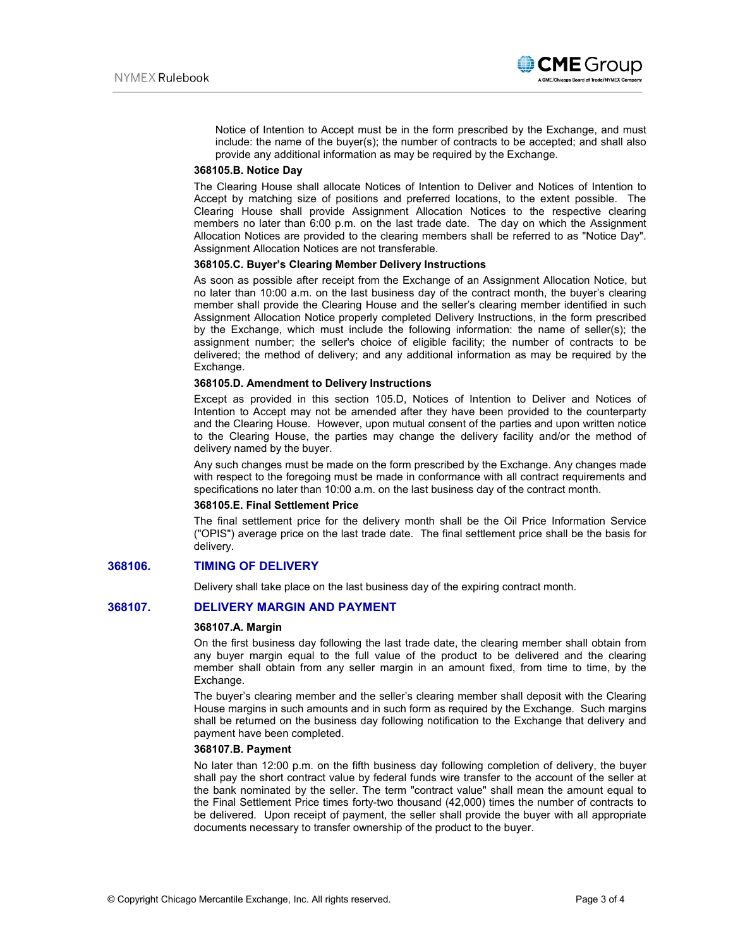

Notice of Intention to Accept must be in the form prescribed by the Exchange, and must include: the name of the buyer(s); the number of contracts to be accepted; and shall also provide any additional information as may be required by the Exchange.

## **368105.B. Notice Day**

The Clearing House shall allocate Notices of Intention to Deliver and Notices of Intention to Accept by matching size of positions and preferred locations, to the extent possible. The Clearing House shall provide Assignment Allocation Notices to the respective clearing members no later than 6:00 p.m. on the last trade date. The day on which the Assignment Allocation Notices are provided to the clearing members shall be referred to as "Notice Day". Assignment Allocation Notices are not transferable.

#### **368105.C. Buyer's Clearing Member Delivery Instructions**

As soon as possible after receipt from the Exchange of an Assignment Allocation Notice, but no later than 10:00 a.m. on the last business day of the contract month, the buyer's clearing member shall provide the Clearing House and the seller's clearing member identified in such Assignment Allocation Notice properly completed Delivery Instructions, in the form prescribed by the Exchange, which must include the following information: the name of seller(s); the assignment number; the seller's choice of eligible facility; the number of contracts to be delivered; the method of delivery; and any additional information as may be required by the Exchange.

#### **368105.D. Amendment to Delivery Instructions**

Except as provided in this section 105.D, Notices of Intention to Deliver and Notices of Intention to Accept may not be amended after they have been provided to the counterparty and the Clearing House. However, upon mutual consent of the parties and upon written notice to the Clearing House, the parties may change the delivery facility and/or the method of delivery named by the buyer.

Any such changes must be made on the form prescribed by the Exchange. Any changes made with respect to the foregoing must be made in conformance with all contract requirements and specifications no later than 10:00 a.m. on the last business day of the contract month.

#### **368105.E. Final Settlement Price**

The final settlement price for the delivery month shall be the Oil Price Information Service ("OPIS") average price on the last trade date. The final settlement price shall be the basis for delivery.

## **368106. TIMING OF DELIVERY**

Delivery shall take place on the last business day of the expiring contract month.

## **368107. DELIVERY MARGIN AND PAYMENT**

#### **368107.A. Margin**

On the first business day following the last trade date, the clearing member shall obtain from any buyer margin equal to the full value of the product to be delivered and the clearing member shall obtain from any seller margin in an amount fixed, from time to time, by the Exchange.

The buyer's clearing member and the seller's clearing member shall deposit with the Clearing House margins in such amounts and in such form as required by the Exchange. Such margins shall be returned on the business day following notification to the Exchange that delivery and payment have been completed.

#### **368107.B. Payment**

No later than 12:00 p.m. on the fifth business day following completion of delivery, the buyer shall pay the short contract value by federal funds wire transfer to the account of the seller at the bank nominated by the seller. The term "contract value" shall mean the amount equal to the Final Settlement Price times forty-two thousand (42,000) times the number of contracts to be delivered. Upon receipt of payment, the seller shall provide the buyer with all appropriate documents necessary to transfer ownership of the product to the buyer.